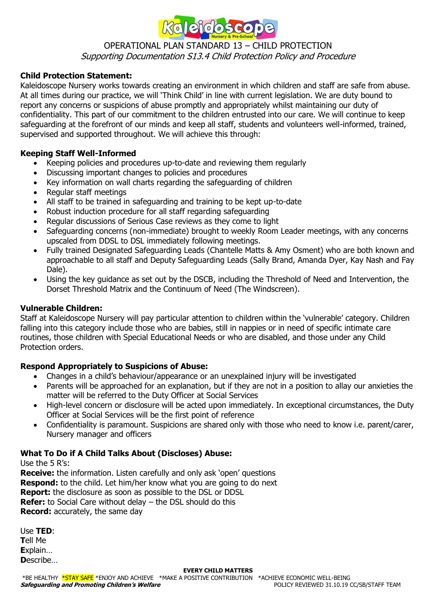

# OPERATIONAL PLAN STANDARD 13 – CHILD PROTECTION

Supporting Documentation S13.4 Child Protection Policy and Procedure

# **Child Protection Statement:**

Kaleidoscope Nursery works towards creating an environment in which children and staff are safe from abuse. At all times during our practice, we will 'Think Child' in line with current legislation. We are duty bound to report any concerns or suspicions of abuse promptly and appropriately whilst maintaining our duty of confidentiality. This part of our commitment to the children entrusted into our care. We will continue to keep safeguarding at the forefront of our minds and keep all staff, students and volunteers well-informed, trained, supervised and supported throughout. We will achieve this through:

# **Keeping Staff Well-Informed**

- Keeping policies and procedures up-to-date and reviewing them regularly
- Discussing important changes to policies and procedures
- Key information on wall charts regarding the safeguarding of children
- Regular staff meetings
- All staff to be trained in safeguarding and training to be kept up-to-date
- Robust induction procedure for all staff regarding safeguarding
- Regular discussions of Serious Case reviews as they come to light
- Safeguarding concerns (non-immediate) brought to weekly Room Leader meetings, with any concerns upscaled from DDSL to DSL immediately following meetings.
- Fully trained Designated Safeguarding Leads (Chantelle Matts & Amy Osment) who are both known and approachable to all staff and Deputy Safeguarding Leads (Sally Brand, Amanda Dyer, Kay Nash and Fay Dale).
- Using the key guidance as set out by the DSCB, including the Threshold of Need and Intervention, the Dorset Threshold Matrix and the Continuum of Need (The Windscreen).

# **Vulnerable Children:**

Staff at Kaleidoscope Nursery will pay particular attention to children within the 'vulnerable' category. Children falling into this category include those who are babies, still in nappies or in need of specific intimate care routines, those children with Special Educational Needs or who are disabled, and those under any Child Protection orders.

# **Respond Appropriately to Suspicions of Abuse:**

- Changes in a child's behaviour/appearance or an unexplained injury will be investigated
- Parents will be approached for an explanation, but if they are not in a position to allay our anxieties the matter will be referred to the Duty Officer at Social Services
- High-level concern or disclosure will be acted upon immediately. In exceptional circumstances, the Duty Officer at Social Services will be the first point of reference
- Confidentiality is paramount. Suspicions are shared only with those who need to know i.e. parent/carer, Nursery manager and officers

# **What To Do if A Child Talks About (Discloses) Abuse:**

Use the 5 R's:

**Receive:** the information. Listen carefully and only ask 'open' questions **Respond:** to the child. Let him/her know what you are going to do next **Report:** the disclosure as soon as possible to the DSL or DDSL **Refer:** to Social Care without delay – the DSL should do this **Record:** accurately, the same day

| Use <b>TED</b> : |
|------------------|
| <b>Tell Me</b>   |
| <b>Explain</b>   |
| <b>D</b> escribe |

#### **EVERY CHILD MATTERS**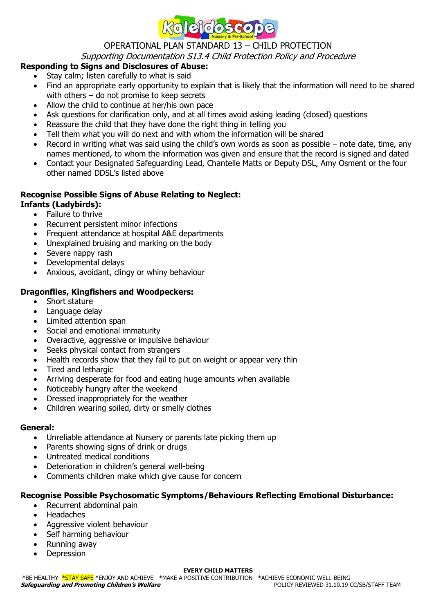

# OPERATIONAL PLAN STANDARD 13 – CHILD PROTECTION

# Supporting Documentation S13.4 Child Protection Policy and Procedure

# **Responding to Signs and Disclosures of Abuse:**

- Stay calm; listen carefully to what is said
- Find an appropriate early opportunity to explain that is likely that the information will need to be shared with others – do not promise to keep secrets
- Allow the child to continue at her/his own pace
- Ask questions for clarification only, and at all times avoid asking leading (closed) questions
- Reassure the child that they have done the right thing in telling you
- Tell them what you will do next and with whom the information will be shared
- Record in writing what was said using the child's own words as soon as possible note date, time, any names mentioned, to whom the information was given and ensure that the record is signed and dated
- Contact your Designated Safeguarding Lead, Chantelle Matts or Deputy DSL, Amy Osment or the four other named DDSL's listed above

# **Recognise Possible Signs of Abuse Relating to Neglect:**

- **Infants (Ladybirds):**
	- Failure to thrive
	- Recurrent persistent minor infections
	- Frequent attendance at hospital A&E departments
	- Unexplained bruising and marking on the body
	- Severe nappy rash
	- Developmental delays
	- Anxious, avoidant, clingy or whiny behaviour

# **Dragonflies, Kingfishers and Woodpeckers:**

- Short stature
- Language delay
- Limited attention span
- Social and emotional immaturity
- Overactive, aggressive or impulsive behaviour
- Seeks physical contact from strangers
- Health records show that they fail to put on weight or appear very thin
- Tired and lethargic
- Arriving desperate for food and eating huge amounts when available
- Noticeably hungry after the weekend
- Dressed inappropriately for the weather
- Children wearing soiled, dirty or smelly clothes

# **General:**

- Unreliable attendance at Nursery or parents late picking them up
- Parents showing signs of drink or drugs
- Untreated medical conditions
- Deterioration in children's general well-being
- Comments children make which give cause for concern

# **Recognise Possible Psychosomatic Symptoms/Behaviours Reflecting Emotional Disturbance:**

- Recurrent abdominal pain
- Headaches
- Aggressive violent behaviour
- Self harming behaviour
- Running away
- **Depression**

#### **EVERY CHILD MATTERS**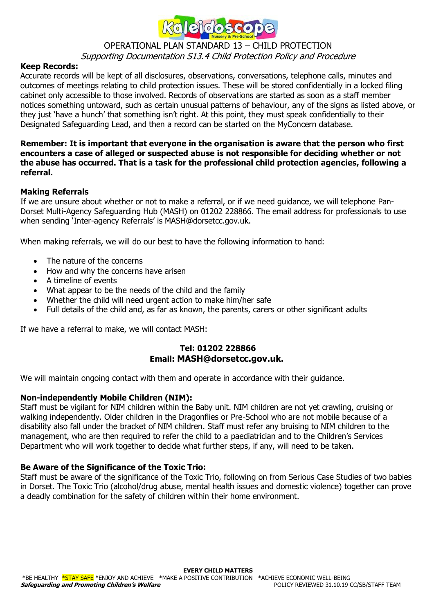

# OPERATIONAL PLAN STANDARD 13 – CHILD PROTECTION

# Supporting Documentation S13.4 Child Protection Policy and Procedure

#### **Keep Records:**

Accurate records will be kept of all disclosures, observations, conversations, telephone calls, minutes and outcomes of meetings relating to child protection issues. These will be stored confidentially in a locked filing cabinet only accessible to those involved. Records of observations are started as soon as a staff member notices something untoward, such as certain unusual patterns of behaviour, any of the signs as listed above, or they just 'have a hunch' that something isn't right. At this point, they must speak confidentially to their Designated Safeguarding Lead, and then a record can be started on the MyConcern database.

#### **Remember: It is important that everyone in the organisation is aware that the person who first encounters a case of alleged or suspected abuse is not responsible for deciding whether or not the abuse has occurred. That is a task for the professional child protection agencies, following a referral.**

#### **Making Referrals**

If we are unsure about whether or not to make a referral, or if we need guidance, we will telephone Pan-Dorset Multi-Agency Safeguarding Hub (MASH) on 01202 228866. The email address for professionals to use when sending 'Inter-agency Referrals' is MASH@dorsetcc.gov.uk.

When making referrals, we will do our best to have the following information to hand:

- The nature of the concerns
- How and why the concerns have arisen
- A timeline of events
- What appear to be the needs of the child and the family
- Whether the child will need urgent action to make him/her safe
- Full details of the child and, as far as known, the parents, carers or other significant adults

If we have a referral to make, we will contact MASH:

# **Tel: 01202 228866 Email: MASH@dorsetcc.gov.uk.**

We will maintain ongoing contact with them and operate in accordance with their guidance.

#### **Non-independently Mobile Children (NIM):**

Staff must be vigilant for NIM children within the Baby unit. NIM children are not yet crawling, cruising or walking independently. Older children in the Dragonflies or Pre-School who are not mobile because of a disability also fall under the bracket of NIM children. Staff must refer any bruising to NIM children to the management, who are then required to refer the child to a paediatrician and to the Children's Services Department who will work together to decide what further steps, if any, will need to be taken.

#### **Be Aware of the Significance of the Toxic Trio:**

Staff must be aware of the significance of the Toxic Trio, following on from Serious Case Studies of two babies in Dorset. The Toxic Trio (alcohol/drug abuse, mental health issues and domestic violence) together can prove a deadly combination for the safety of children within their home environment.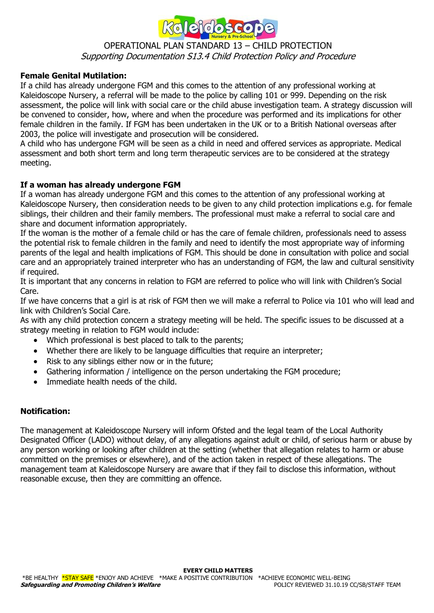

#### OPERATIONAL PLAN STANDARD 13 – CHILD PROTECTION Supporting Documentation S13.4 Child Protection Policy and Procedure

#### **Female Genital Mutilation:**

If a child has already undergone FGM and this comes to the attention of any professional working at Kaleidoscope Nursery, a referral will be made to the police by calling 101 or 999. Depending on the risk assessment, the police will link with social care or the child abuse investigation team. A strategy discussion will be convened to consider, how, where and when the procedure was performed and its implications for other female children in the family. If FGM has been undertaken in the UK or to a British National overseas after 2003, the police will investigate and prosecution will be considered.

A child who has undergone FGM will be seen as a child in need and offered services as appropriate. Medical assessment and both short term and long term therapeutic services are to be considered at the strategy meeting.

#### **If a woman has already undergone FGM**

If a woman has already undergone FGM and this comes to the attention of any professional working at Kaleidoscope Nursery, then consideration needs to be given to any child protection implications e.g. for female siblings, their children and their family members. The professional must make a referral to social care and share and document information appropriately.

If the woman is the mother of a female child or has the care of female children, professionals need to assess the potential risk to female children in the family and need to identify the most appropriate way of informing parents of the legal and health implications of FGM. This should be done in consultation with police and social care and an appropriately trained interpreter who has an understanding of FGM, the law and cultural sensitivity if required.

It is important that any concerns in relation to FGM are referred to police who will link with Children's Social Care.

If we have concerns that a girl is at risk of FGM then we will make a referral to Police via 101 who will lead and link with Children's Social Care.

As with any child protection concern a strategy meeting will be held. The specific issues to be discussed at a strategy meeting in relation to FGM would include:

- Which professional is best placed to talk to the parents;
- Whether there are likely to be language difficulties that require an interpreter;
- Risk to any siblings either now or in the future;
- Gathering information / intelligence on the person undertaking the FGM procedure;
- Immediate health needs of the child.

#### **Notification:**

The management at Kaleidoscope Nursery will inform Ofsted and the legal team of the Local Authority Designated Officer (LADO) without delay, of any allegations against adult or child, of serious harm or abuse by any person working or looking after children at the setting (whether that allegation relates to harm or abuse committed on the premises or elsewhere), and of the action taken in respect of these allegations. The management team at Kaleidoscope Nursery are aware that if they fail to disclose this information, without reasonable excuse, then they are committing an offence.